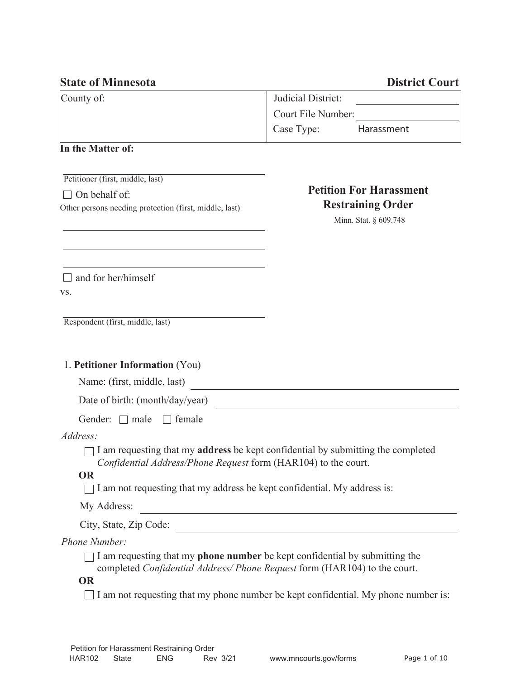| <b>State of Minnesota</b>                              |                    | <b>District Court</b>          |
|--------------------------------------------------------|--------------------|--------------------------------|
| County of:                                             | Judicial District: |                                |
|                                                        | Court File Number: |                                |
|                                                        | Case Type:         | Harassment                     |
| In the Matter of:                                      |                    |                                |
| Petitioner (first, middle, last)                       |                    |                                |
| On behalf of:                                          |                    | <b>Petition For Harassment</b> |
| Other persons needing protection (first, middle, last) |                    | <b>Restraining Order</b>       |
|                                                        |                    | Minn. Stat. § 609.748          |
|                                                        |                    |                                |
|                                                        |                    |                                |
| and for her/himself                                    |                    |                                |
| VS.                                                    |                    |                                |
| Respondent (first, middle, last)                       |                    |                                |
| 1. Petitioner Information (You)                        |                    |                                |
| Name: (first, middle, last)                            |                    |                                |
| Date of birth: (month/day/year)                        |                    |                                |

| Gender: $\Box$ male | $\Box$ female |
|---------------------|---------------|
|---------------------|---------------|

## *Address:*

 $\Box$  I am requesting that my **address** be kept confidential by submitting the completed *Confidential Address/Phone Request* form (HAR104) to the court.

## **OR**

 $\Box$  I am not requesting that my address be kept confidential. My address is:

My Address:

City, State, Zip Code:

## *Phone Number:*

 $\Box$  I am requesting that my **phone number** be kept confidential by submitting the completed *Confidential Address/ Phone Request* form (HAR104) to the court.

## **OR**

 $\Box$  I am not requesting that my phone number be kept confidential. My phone number is: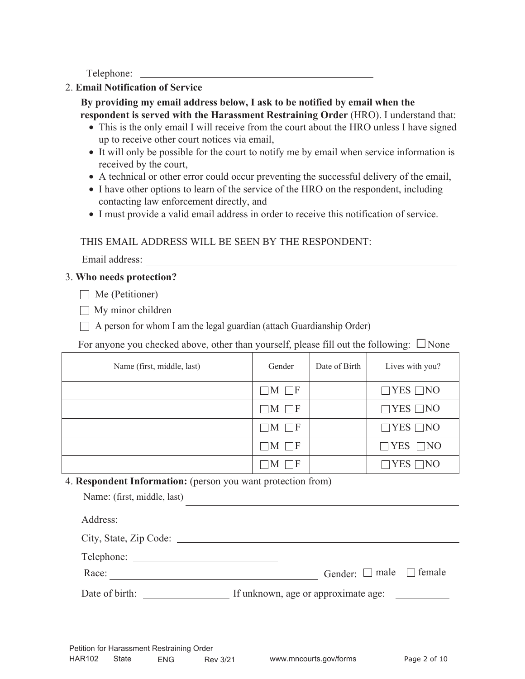Telephone:

## 2. **Email Notification of Service**

 **By providing my email address below, I ask to be notified by email when the respondent is served with the Harassment Restraining Order** (HRO). I understand that:

- This is the only email I will receive from the court about the HRO unless I have signed up to receive other court notices via email,
- It will only be possible for the court to notify me by email when service information is received by the court,
- A technical or other error could occur preventing the successful delivery of the email,
- I have other options to learn of the service of the HRO on the respondent, including contacting law enforcement directly, and
- I must provide a valid email address in order to receive this notification of service.

# THIS EMAIL ADDRESS WILL BE SEEN BY THE RESPONDENT:

Email address:

# 3. **Who needs protection?**

 $\Box$  Me (Petitioner)

- $\Box$  My minor children
- $\Box$  A person for whom I am the legal guardian (attach Guardianship Order)

For anyone you checked above, other than yourself, please fill out the following:  $\Box$  None

| Name (first, middle, last) | Gender             | Date of Birth | Lives with you?      |
|----------------------------|--------------------|---------------|----------------------|
|                            | $\Box M \Box F$    |               | $\Box$ YES $\Box$ NO |
|                            | $\neg M \square F$ |               | $\Box$ YES $\Box$ NO |
|                            | $\Box M \Box F$    |               | $\Box$ YES $\Box$ NO |
|                            | $\neg M \sqcap F$  |               | $\Box$ YES $\Box$ NO |
|                            | ٦F<br><b>NI</b>    |               | YES  <br>$\neg$ NO   |

# 4. **Respondent Information:** (person you want protection from)

| Name: (first, middle, last) |                                         |
|-----------------------------|-----------------------------------------|
|                             |                                         |
| City, State, Zip Code:      |                                         |
|                             |                                         |
| Race:                       | Gender: $\square$ male $\square$ female |
|                             |                                         |
|                             |                                         |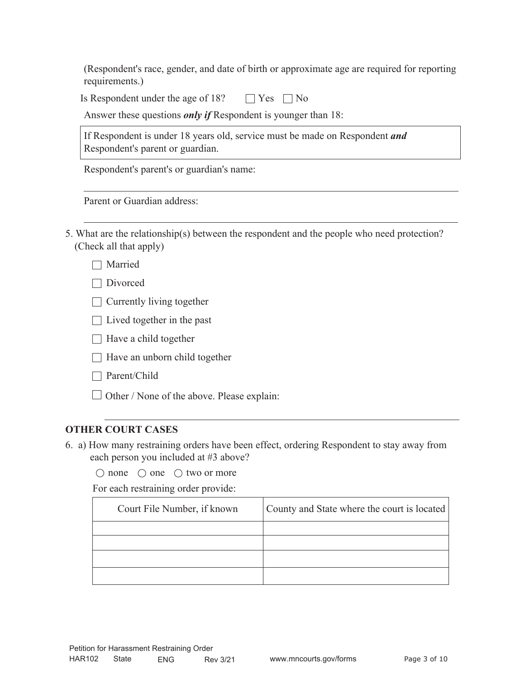(Respondent's race, gender, and date of birth or approximate age are required for reporting requirements.)

Is Respondent under the age of 18?  $\Box$  Yes  $\Box$  No

Answer these questions *only if* Respondent is younger than 18:

If Respondent is under 18 years old, service must be made on Respondent *and* Respondent's parent or guardian.

Respondent's parent's or guardian's name:

Parent or Guardian address:

5. What are the relationship(s) between the respondent and the people who need protection? (Check all that apply)

| Married |
|---------|
|---------|

□ Divorced

- $\Box$  Currently living together
- $\Box$  Lived together in the past
- $\Box$  Have a child together
- $\Box$  Have an unborn child together
- □ Parent/Child
- $\Box$  Other / None of the above. Please explain:

# **OTHER COURT CASES**

6. a) How many restraining orders have been effect, ordering Respondent to stay away from each person you included at #3 above?

 $\bigcirc$  none  $\bigcirc$  one  $\bigcirc$  two or more

For each restraining order provide:

| Court File Number, if known | County and State where the court is located |
|-----------------------------|---------------------------------------------|
|                             |                                             |
|                             |                                             |
|                             |                                             |
|                             |                                             |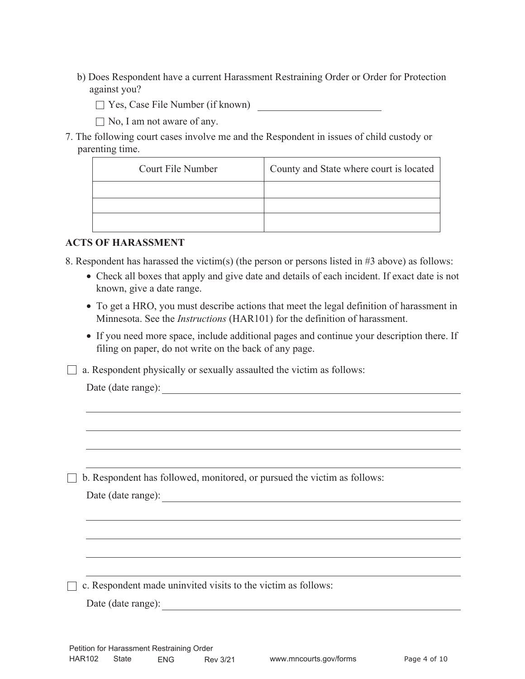- b) Does Respondent have a current Harassment Restraining Order or Order for Protection against you?
	- Yes, Case File Number (if known)
	- $\Box$  No, I am not aware of any.
- 7. The following court cases involve me and the Respondent in issues of child custody or parenting time.

| Court File Number | County and State where court is located |
|-------------------|-----------------------------------------|
|                   |                                         |
|                   |                                         |
|                   |                                         |

## **ACTS OF HARASSMENT**

8. Respondent has harassed the victim(s) (the person or persons listed in #3 above) as follows:

- Check all boxes that apply and give date and details of each incident. If exact date is not known, give a date range.
- To get a HRO, you must describe actions that meet the legal definition of harassment in Minnesota. See the *Instructions* (HAR101) for the definition of harassment.
- If you need more space, include additional pages and continue your description there. If filing on paper, do not write on the back of any page.
- $\Box$  a. Respondent physically or sexually assaulted the victim as follows:

|  |  | Date (date range): |
|--|--|--------------------|
|--|--|--------------------|

 $\Box$  b. Respondent has followed, monitored, or pursued the victim as follows:

|  |  | Date (date range): |
|--|--|--------------------|
|--|--|--------------------|

 $\Box$  c. Respondent made uninvited visits to the victim as follows:

Date (date range):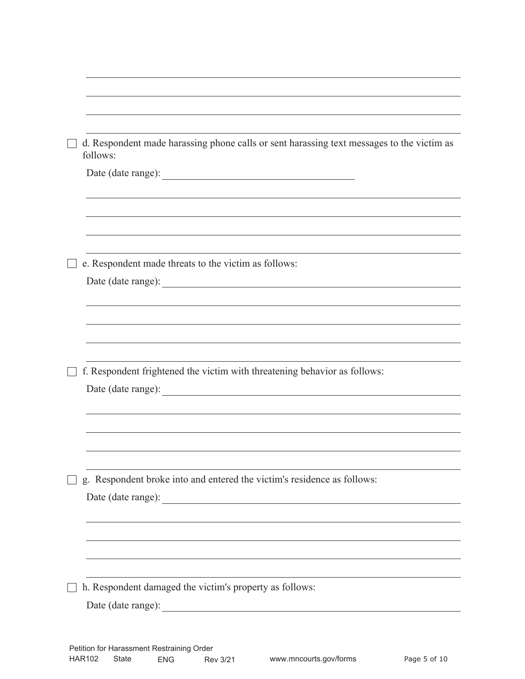| d. Respondent made harassing phone calls or sent harassing text messages to the victim as<br>follows: |
|-------------------------------------------------------------------------------------------------------|
|                                                                                                       |
|                                                                                                       |
|                                                                                                       |
| e. Respondent made threats to the victim as follows:                                                  |
|                                                                                                       |
|                                                                                                       |
|                                                                                                       |
|                                                                                                       |
| f. Respondent frightened the victim with threatening behavior as follows:                             |
|                                                                                                       |
|                                                                                                       |
|                                                                                                       |
|                                                                                                       |
|                                                                                                       |
| g. Respondent broke into and entered the victim's residence as follows:                               |
|                                                                                                       |
|                                                                                                       |
|                                                                                                       |
|                                                                                                       |
| h. Respondent damaged the victim's property as follows:                                               |
|                                                                                                       |
|                                                                                                       |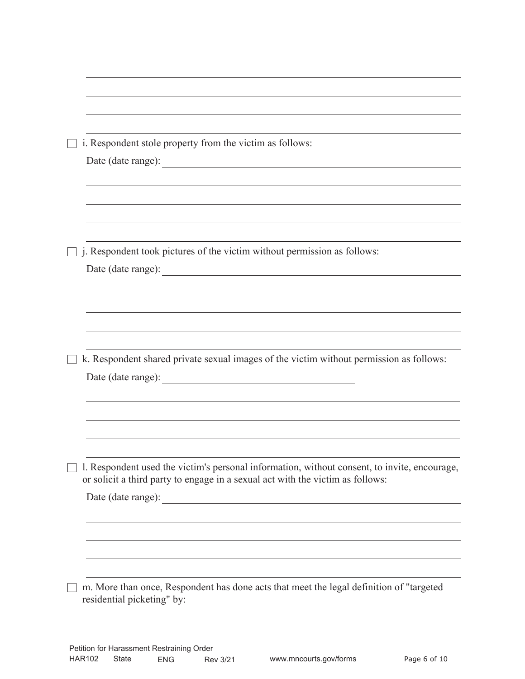| i. Respondent stole property from the victim as follows:                                                                                                                       |
|--------------------------------------------------------------------------------------------------------------------------------------------------------------------------------|
|                                                                                                                                                                                |
|                                                                                                                                                                                |
|                                                                                                                                                                                |
|                                                                                                                                                                                |
|                                                                                                                                                                                |
| j. Respondent took pictures of the victim without permission as follows:                                                                                                       |
|                                                                                                                                                                                |
|                                                                                                                                                                                |
|                                                                                                                                                                                |
|                                                                                                                                                                                |
|                                                                                                                                                                                |
| k. Respondent shared private sexual images of the victim without permission as follows:                                                                                        |
|                                                                                                                                                                                |
|                                                                                                                                                                                |
|                                                                                                                                                                                |
|                                                                                                                                                                                |
|                                                                                                                                                                                |
|                                                                                                                                                                                |
| 1. Respondent used the victim's personal information, without consent, to invite, encourage,<br>or solicit a third party to engage in a sexual act with the victim as follows: |
| Date (date range):                                                                                                                                                             |
|                                                                                                                                                                                |
|                                                                                                                                                                                |
|                                                                                                                                                                                |
|                                                                                                                                                                                |
|                                                                                                                                                                                |
| m. More than once, Respondent has done acts that meet the legal definition of "targeted                                                                                        |
| residential picketing" by:                                                                                                                                                     |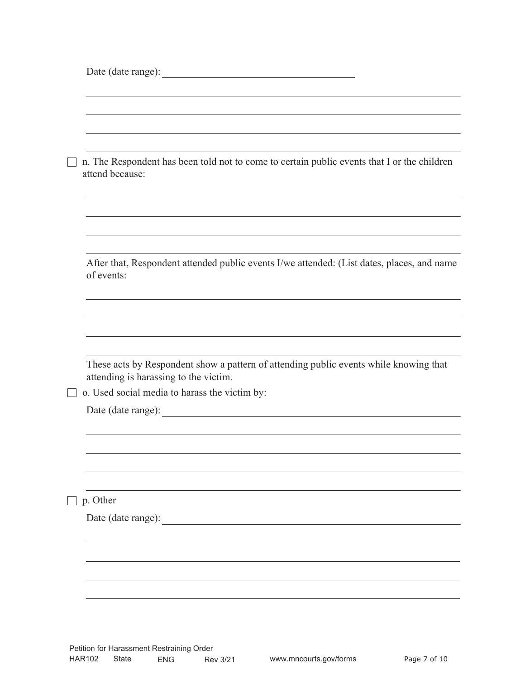| n. The Respondent has been told not to come to certain public events that I or the children<br>attend because:                 |  |
|--------------------------------------------------------------------------------------------------------------------------------|--|
|                                                                                                                                |  |
| After that, Respondent attended public events I/we attended: (List dates, places, and name<br>of events:                       |  |
|                                                                                                                                |  |
| These acts by Respondent show a pattern of attending public events while knowing that<br>attending is harassing to the victim. |  |
| o. Used social media to harass the victim by:                                                                                  |  |
|                                                                                                                                |  |
|                                                                                                                                |  |
|                                                                                                                                |  |
| p. Other                                                                                                                       |  |
| Date (date range):                                                                                                             |  |
|                                                                                                                                |  |
|                                                                                                                                |  |
|                                                                                                                                |  |
|                                                                                                                                |  |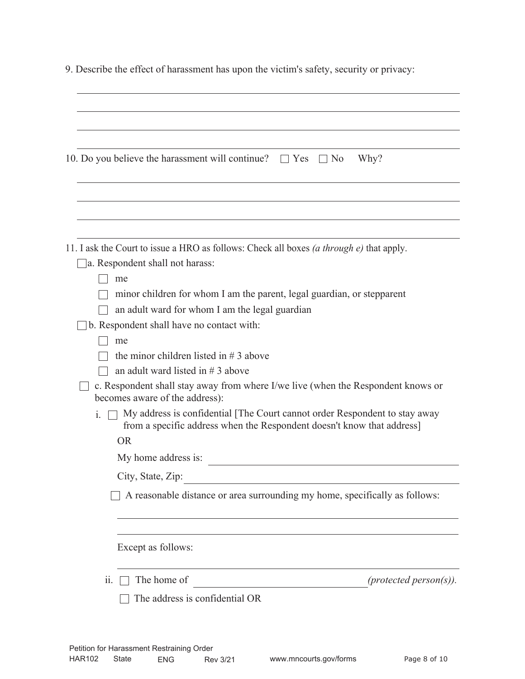|  | 9. Describe the effect of harassment has upon the victim's safety, security or privacy: |  |  |  |
|--|-----------------------------------------------------------------------------------------|--|--|--|
|  |                                                                                         |  |  |  |

|     | Why?<br>10. Do you believe the harassment will continue? $\Box$ Yes $\Box$ No                                                                        |
|-----|------------------------------------------------------------------------------------------------------------------------------------------------------|
|     |                                                                                                                                                      |
|     | 11. I ask the Court to issue a HRO as follows: Check all boxes <i>(a through e)</i> that apply.                                                      |
|     | a. Respondent shall not harass:                                                                                                                      |
|     | me                                                                                                                                                   |
|     | minor children for whom I am the parent, legal guardian, or stepparent                                                                               |
|     | an adult ward for whom I am the legal guardian                                                                                                       |
|     | b. Respondent shall have no contact with:                                                                                                            |
|     | me                                                                                                                                                   |
|     | the minor children listed in $# 3$ above                                                                                                             |
|     | an adult ward listed in $# 3$ above                                                                                                                  |
|     | c. Respondent shall stay away from where I/we live (when the Respondent knows or<br>becomes aware of the address):                                   |
| i.  | My address is confidential [The Court cannot order Respondent to stay away<br>from a specific address when the Respondent doesn't know that address] |
|     | <b>OR</b>                                                                                                                                            |
|     | My home address is:                                                                                                                                  |
|     | City, State, Zip:                                                                                                                                    |
|     | A reasonable distance or area surrounding my home, specifically as follows:                                                                          |
|     | Except as follows:                                                                                                                                   |
| 11. | (protected person(s)).<br>The home of                                                                                                                |
|     | The address is confidential OR                                                                                                                       |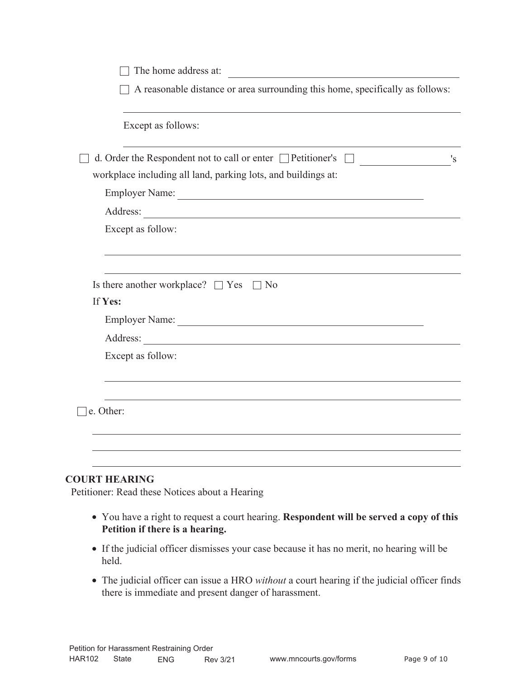| The home address at:                                                             |    |
|----------------------------------------------------------------------------------|----|
| A reasonable distance or area surrounding this home, specifically as follows:    |    |
| Except as follows:                                                               |    |
| d. Order the Respondent not to call or enter $\Box$ Petitioner's                 | 's |
| workplace including all land, parking lots, and buildings at:                    |    |
|                                                                                  |    |
| Address:                                                                         |    |
| Except as follow:                                                                |    |
| Is there another workplace? $\Box$ Yes $\Box$ No<br>If Yes:<br>Except as follow: |    |
| e. Other:                                                                        |    |
|                                                                                  |    |
|                                                                                  |    |

- You have a right to request a court hearing. **Respondent will be served a copy of this Petition if there is a hearing.**
- If the judicial officer dismisses your case because it has no merit, no hearing will be held.
- The judicial officer can issue a HRO *without* a court hearing if the judicial officer finds there is immediate and present danger of harassment.